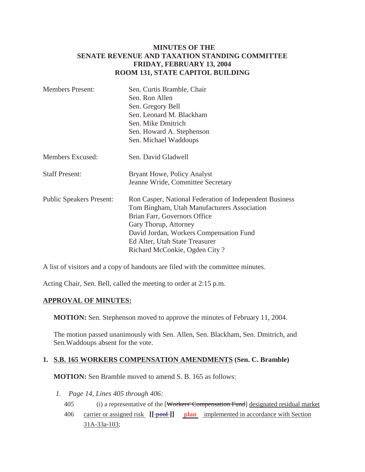## **MINUTES OF THE SENATE REVENUE AND TAXATION STANDING COMMITTEE FRIDAY, FEBRUARY 13, 2004 ROOM 131, STATE CAPITOL BUILDING**

| <b>Members Present:</b>         | Sen. Curtis Bramble, Chair                              |
|---------------------------------|---------------------------------------------------------|
|                                 | Sen. Ron Allen                                          |
|                                 | Sen. Gregory Bell                                       |
|                                 | Sen. Leonard M. Blackham                                |
|                                 | Sen. Mike Dmitrich                                      |
|                                 | Sen. Howard A. Stephenson                               |
|                                 | Sen. Michael Waddoups                                   |
| Members Excused:                | Sen. David Gladwell                                     |
| <b>Staff Present:</b>           | Bryant Howe, Policy Analyst                             |
|                                 | Jeanne Wride, Committee Secretary                       |
| <b>Public Speakers Present:</b> | Ron Casper, National Federation of Independent Business |
|                                 | Tom Bingham, Utah Manufacturers Association             |
|                                 | Brian Farr, Governors Office                            |
|                                 | Gary Thorup, Attorney                                   |
|                                 | David Jordan, Workers Compensation Fund                 |
|                                 | Ed Alter, Utah State Treasurer                          |
|                                 | Richard McConkie, Ogden City?                           |

A list of visitors and a copy of handouts are filed with the committee minutes.

Acting Chair, Sen. Bell, called the meeting to order at 2:15 p.m.

## **APPROVAL OF MINUTES:**

**MOTION:** Sen. Stephenson moved to approve the minutes of February 11, 2004.

The motion passed unanimously with Sen. Allen, Sen. Blackham, Sen. Dmitrich, and Sen.Waddoups absent for the vote.

## **1. S.B. 165 WORKERS COMPENSATION AMENDMENTS (Sen. C. Bramble)**

**MOTION:** Sen Bramble moved to amend S. B. 165 as follows:

- *1. Page 14, Lines 405 through 406:*
	- 405 (i) a representative of the [Workers' Compensation Fund] designated residual market
	- 406 carrier or assigned risk **[[ pool ]] plan** implemented in accordance with Section 31A-33a-103;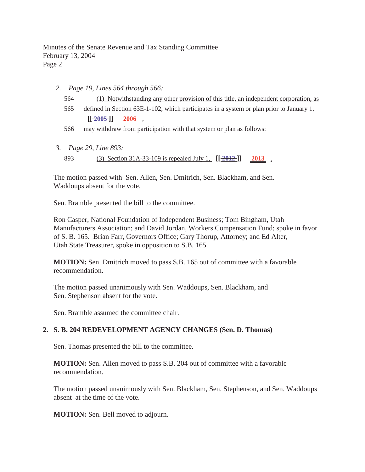Minutes of the Senate Revenue and Tax Standing Committee February 13, 2004 Page 2

- *2. Page 19, Lines 564 through 566:*
	- 564 (1) Notwithstanding any other provision of this title, an independent corporation, as
	- 565 defined in Section 63E-1-102, which participates in a system or plan prior to January 1,  $\begin{bmatrix} \boxed{-2005} \end{bmatrix}$  2006,
	- 566 may withdraw from participation with that system or plan as follows:
- *3. Page 29, Line 893:* 893 (3) Section 31A-33-109 is repealed July 1,  $[[\frac{2012}{2013}]$  2013.

The motion passed with Sen. Allen, Sen. Dmitrich, Sen. Blackham, and Sen. Waddoups absent for the vote.

Sen. Bramble presented the bill to the committee.

Ron Casper, National Foundation of Independent Business; Tom Bingham, Utah Manufacturers Association; and David Jordan, Workers Compensation Fund; spoke in favor of S. B. 165. Brian Farr, Governors Office; Gary Thorup, Attorney; and Ed Alter, Utah State Treasurer, spoke in opposition to S.B. 165.

**MOTION:** Sen. Dmitrich moved to pass S.B. 165 out of committee with a favorable recommendation.

The motion passed unanimously with Sen. Waddoups, Sen. Blackham, and Sen. Stephenson absent for the vote.

Sen. Bramble assumed the committee chair.

## **2. S. B. 204 REDEVELOPMENT AGENCY CHANGES (Sen. D. Thomas)**

Sen. Thomas presented the bill to the committee.

**MOTION:** Sen. Allen moved to pass S.B. 204 out of committee with a favorable recommendation.

The motion passed unanimously with Sen. Blackham, Sen. Stephenson, and Sen. Waddoups absent at the time of the vote.

**MOTION:** Sen. Bell moved to adjourn.